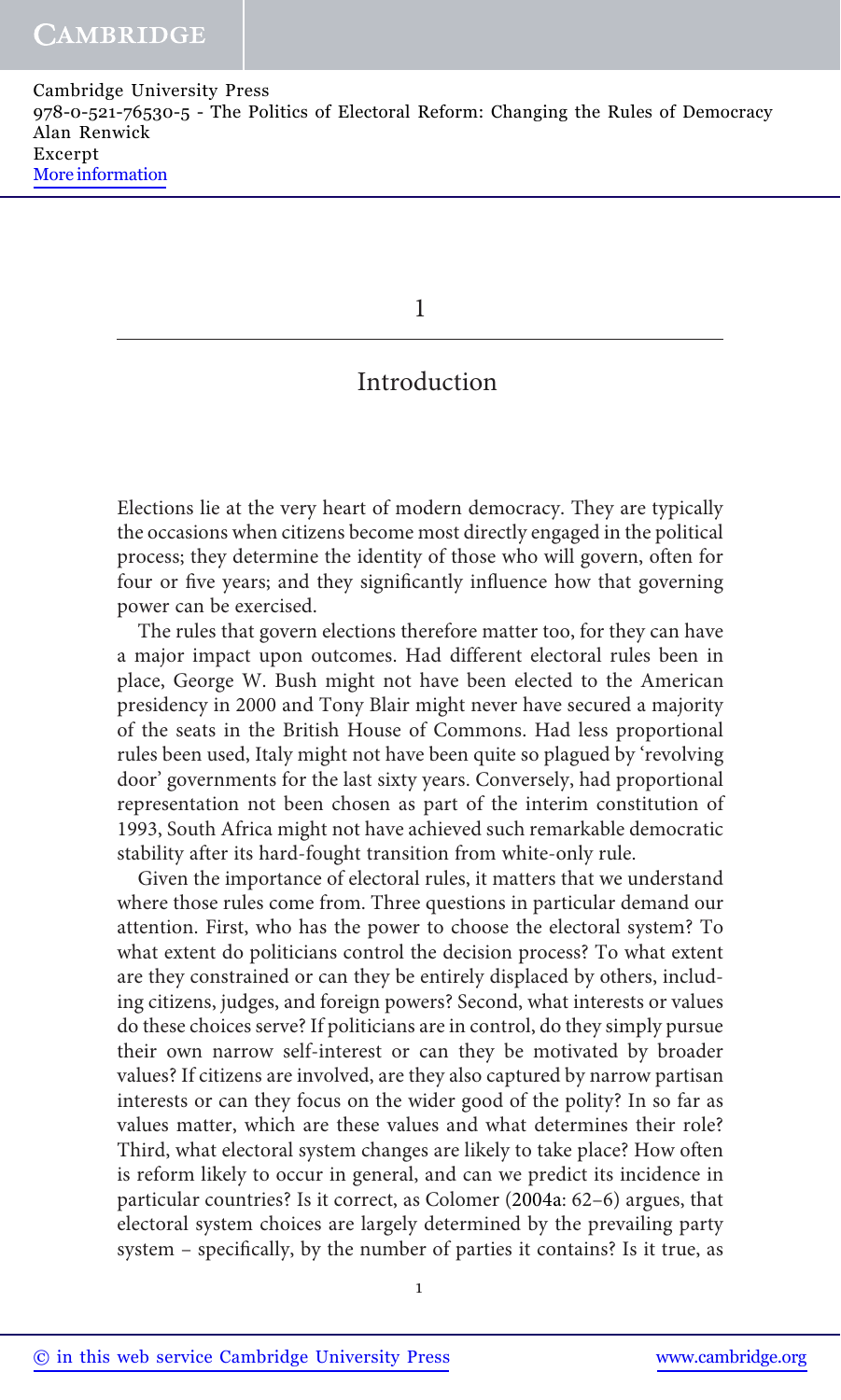1

# Introduction

Elections lie at the very heart of modern democracy. They are typically the occasions when citizens become most directly engaged in the political process; they determine the identity of those who will govern, often for four or five years; and they significantly influence how that governing power can be exercised.

The rules that govern elections therefore matter too, for they can have a major impact upon outcomes. Had different electoral rules been in place, George W. Bush might not have been elected to the American presidency in 2000 and Tony Blair might never have secured a majority of the seats in the British House of Commons. Had less proportional rules been used, Italy might not have been quite so plagued by 'revolving door' governments for the last sixty years. Conversely, had proportional representation not been chosen as part of the interim constitution of 1993, South Africa might not have achieved such remarkable democratic stability after its hard-fought transition from white-only rule.

Given the importance of electoral rules, it matters that we understand where those rules come from. Three questions in particular demand our attention. First, who has the power to choose the electoral system? To what extent do politicians control the decision process? To what extent are they constrained or can they be entirely displaced by others, including citizens, judges, and foreign powers? Second, what interests or values do these choices serve? If politicians are in control, do they simply pursue their own narrow self-interest or can they be motivated by broader values? If citizens are involved, are they also captured by narrow partisan interests or can they focus on the wider good of the polity? In so far as values matter, which are these values and what determines their role? Third, what electoral system changes are likely to take place? How often is reform likely to occur in general, and can we predict its incidence in particular countries? Is it correct, as Colomer (2004a: 62–6) argues, that electoral system choices are largely determined by the prevailing party system – specifically, by the number of parties it contains? Is it true, as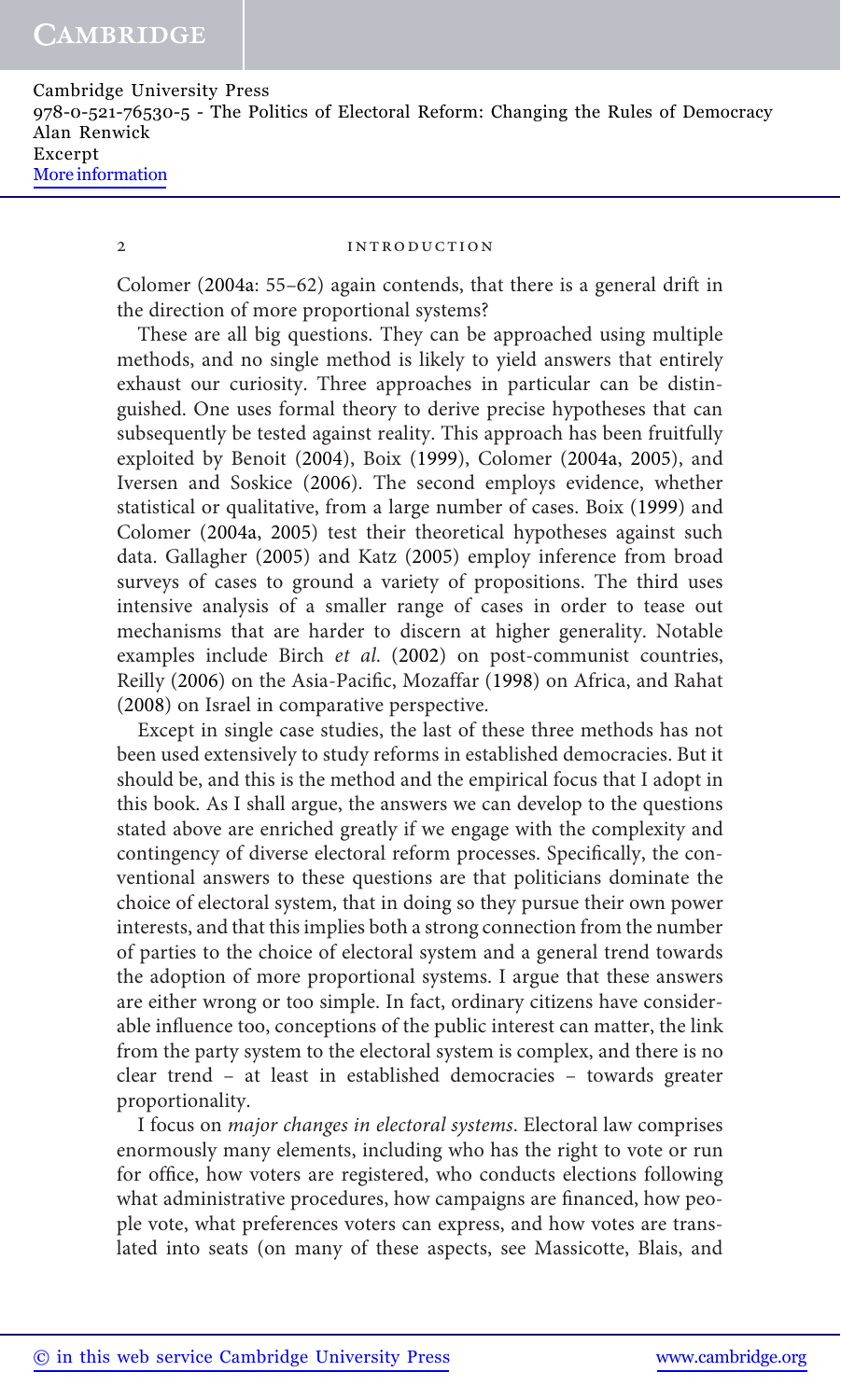Cambridge University Press

978-0-521-76530-5 - The Politics of Electoral Reform: Changing the Rules of Democracy Alan Renwick Excerpt

[More information](http://www.cambridge.org/9780521765305)

## 2 **introduction**

Colomer (2004a: 55–62) again contends, that there is a general drift in the direction of more proportional systems?

These are all big questions. They can be approached using multiple methods, and no single method is likely to yield answers that entirely exhaust our curiosity. Three approaches in particular can be distinguished. One uses formal theory to derive precise hypotheses that can subsequently be tested against reality. This approach has been fruitfully exploited by Benoit (2004), Boix (1999), Colomer (2004a, 2005), and Iversen and Soskice (2006). The second employs evidence, whether statistical or qualitative, from a large number of cases. Boix (1999) and Colomer (2004a, 2005) test their theoretical hypotheses against such data. Gallagher (2005) and Katz (2005) employ inference from broad surveys of cases to ground a variety of propositions. The third uses intensive analysis of a smaller range of cases in order to tease out mechanisms that are harder to discern at higher generality. Notable examples include Birch et al. (2002) on post-communist countries, Reilly (2006) on the Asia-Pacific, Mozaffar (1998) on Africa, and Rahat (2008) on Israel in comparative perspective.

Except in single case studies, the last of these three methods has not been used extensively to study reforms in established democracies. But it should be, and this is the method and the empirical focus that I adopt in this book. As I shall argue, the answers we can develop to the questions stated above are enriched greatly if we engage with the complexity and contingency of diverse electoral reform processes. Specifically, the conventional answers to these questions are that politicians dominate the choice of electoral system, that in doing so they pursue their own power interests, and that this implies both a strong connection from the number of parties to the choice of electoral system and a general trend towards the adoption of more proportional systems. I argue that these answers are either wrong or too simple. In fact, ordinary citizens have considerable influence too, conceptions of the public interest can matter, the link from the party system to the electoral system is complex, and there is no clear trend – at least in established democracies – towards greater proportionality.

I focus on major changes in electoral systems. Electoral law comprises enormously many elements, including who has the right to vote or run for office, how voters are registered, who conducts elections following what administrative procedures, how campaigns are financed, how people vote, what preferences voters can express, and how votes are translated into seats (on many of these aspects, see Massicotte, Blais, and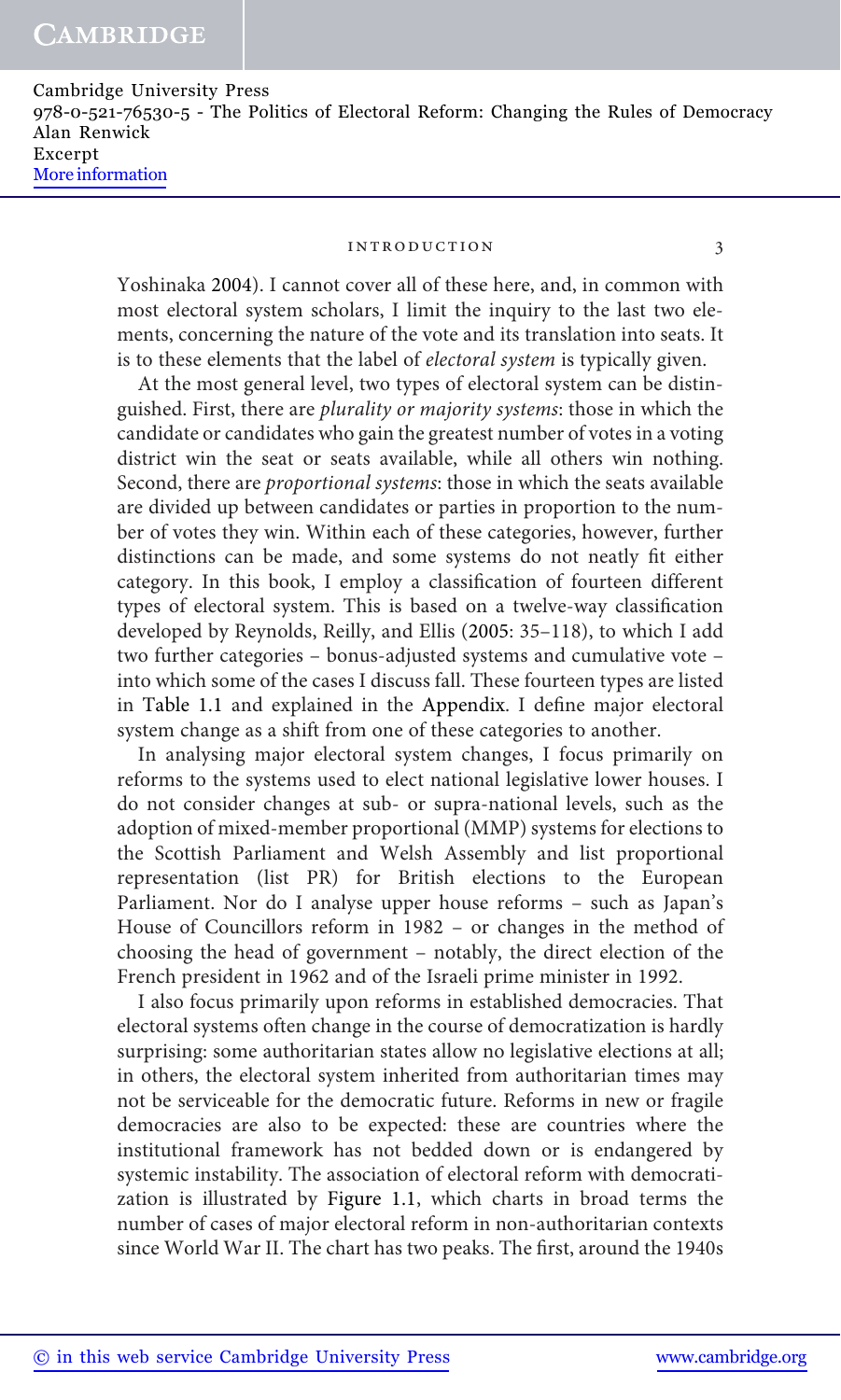## introduction 3

Yoshinaka 2004). I cannot cover all of these here, and, in common with most electoral system scholars, I limit the inquiry to the last two elements, concerning the nature of the vote and its translation into seats. It is to these elements that the label of electoral system is typically given.

At the most general level, two types of electoral system can be distinguished. First, there are plurality or majority systems: those in which the candidate or candidates who gain the greatest number of votes in a voting district win the seat or seats available, while all others win nothing. Second, there are proportional systems: those in which the seats available are divided up between candidates or parties in proportion to the number of votes they win. Within each of these categories, however, further distinctions can be made, and some systems do not neatly fit either category. In this book, I employ a classification of fourteen different types of electoral system. This is based on a twelve-way classification developed by Reynolds, Reilly, and Ellis (2005: 35–118), to which I add two further categories – bonus-adjusted systems and cumulative vote – into which some of the cases I discuss fall. These fourteen types are listed in Table 1.1 and explained in the Appendix. I define major electoral system change as a shift from one of these categories to another.

In analysing major electoral system changes, I focus primarily on reforms to the systems used to elect national legislative lower houses. I do not consider changes at sub- or supra-national levels, such as the adoption of mixed-member proportional (MMP) systems for elections to the Scottish Parliament and Welsh Assembly and list proportional representation (list PR) for British elections to the European Parliament. Nor do I analyse upper house reforms – such as Japan's House of Councillors reform in 1982 – or changes in the method of choosing the head of government – notably, the direct election of the French president in 1962 and of the Israeli prime minister in 1992.

I also focus primarily upon reforms in established democracies. That electoral systems often change in the course of democratization is hardly surprising: some authoritarian states allow no legislative elections at all; in others, the electoral system inherited from authoritarian times may not be serviceable for the democratic future. Reforms in new or fragile democracies are also to be expected: these are countries where the institutional framework has not bedded down or is endangered by systemic instability. The association of electoral reform with democratization is illustrated by Figure 1.1, which charts in broad terms the number of cases of major electoral reform in non-authoritarian contexts since World War II. The chart has two peaks. The first, around the 1940s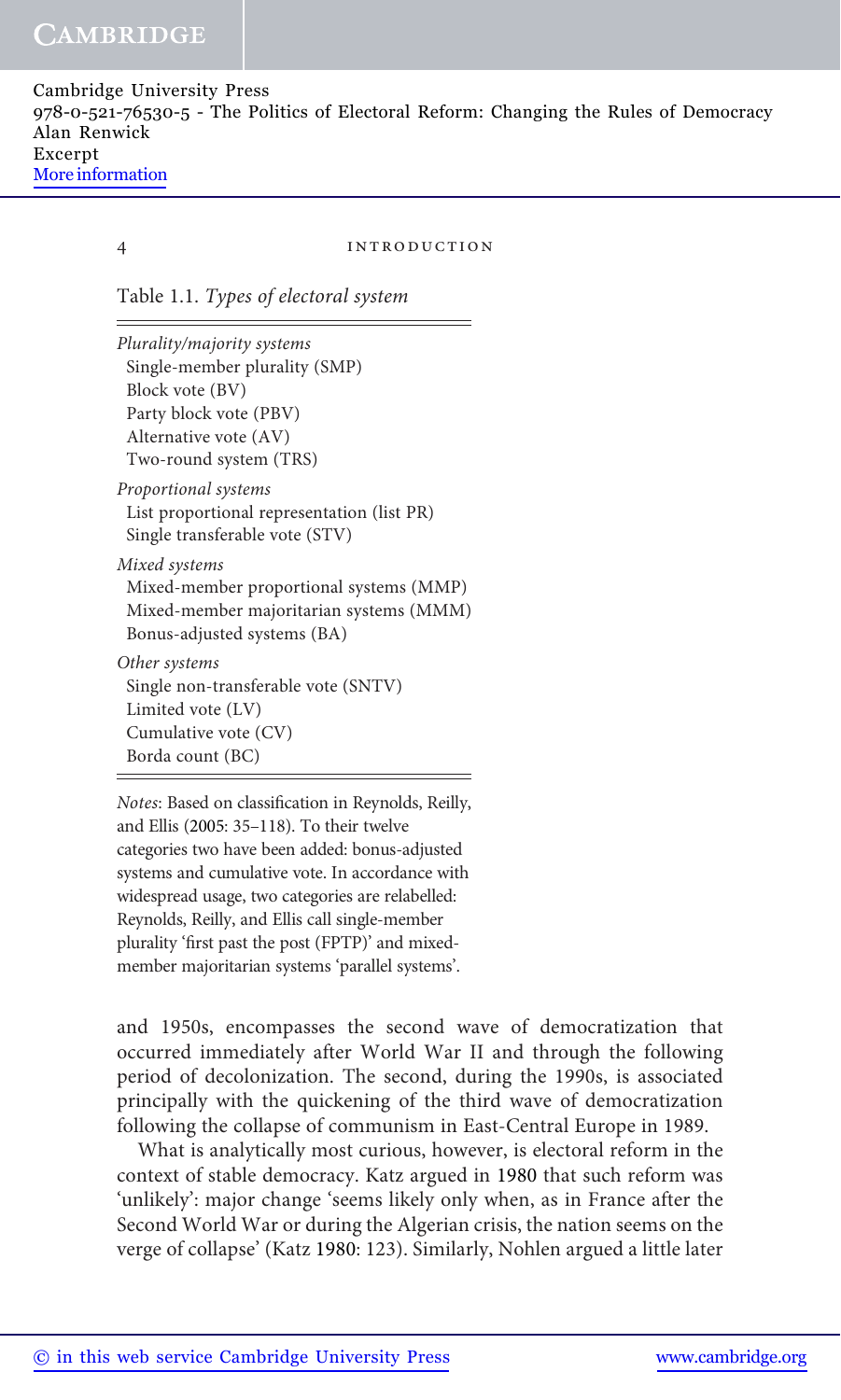#### 4 introduction

Table 1.1. Types of electoral system

| Plurality/majority systems                 |
|--------------------------------------------|
| Single-member plurality (SMP)              |
| Block vote (BV)                            |
| Party block vote (PBV)                     |
| Alternative vote (AV)                      |
| Two-round system (TRS)                     |
| Proportional systems                       |
| List proportional representation (list PR) |
| Single transferable vote (STV)             |
| Mixed systems                              |
| Mixed-member proportional systems (MMP)    |
| Mixed-member majoritarian systems (MMM)    |
| Bonus-adjusted systems (BA)                |
| Other systems                              |
| Single non-transferable vote (SNTV)        |
| Limited vote (LV)                          |
| Cumulative vote (CV)                       |
| Borda count (BC)                           |
|                                            |

Notes: Based on classification in Reynolds, Reilly, and Ellis (2005: 35–118). To their twelve categories two have been added: bonus-adjusted systems and cumulative vote. In accordance with widespread usage, two categories are relabelled: Reynolds, Reilly, and Ellis call single-member plurality 'first past the post (FPTP)' and mixedmember majoritarian systems 'parallel systems'.

and 1950s, encompasses the second wave of democratization that occurred immediately after World War II and through the following period of decolonization. The second, during the 1990s, is associated principally with the quickening of the third wave of democratization following the collapse of communism in East-Central Europe in 1989.

What is analytically most curious, however, is electoral reform in the context of stable democracy. Katz argued in 1980 that such reform was 'unlikely': major change 'seems likely only when, as in France after the Second World War or during the Algerian crisis, the nation seems on the verge of collapse' (Katz 1980: 123). Similarly, Nohlen argued a little later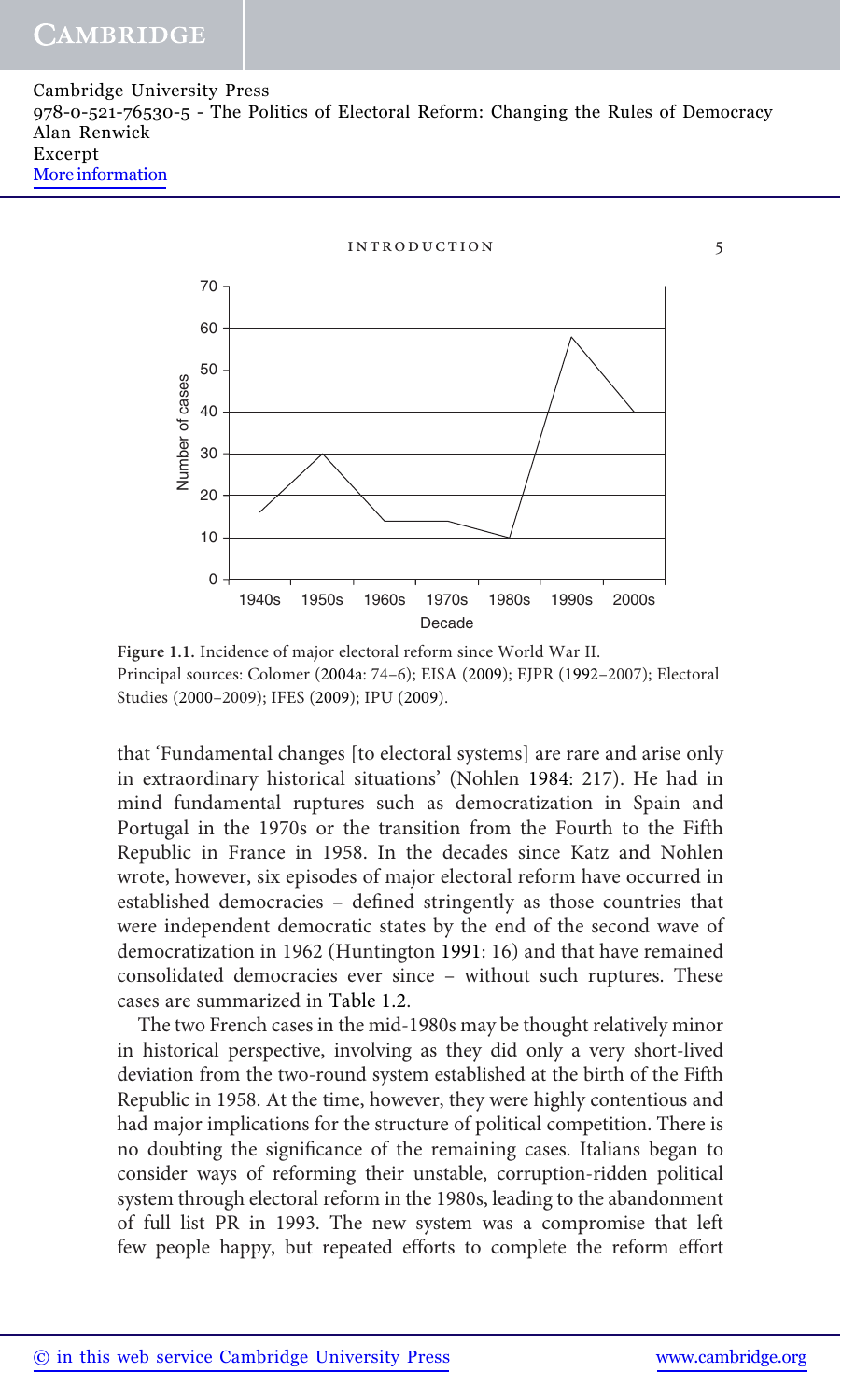introduction 5



Figure 1.1. Incidence of major electoral reform since World War II. Principal sources: Colomer (2004a: 74–6); EISA (2009); EJPR (1992–2007); Electoral Studies (2000–2009); IFES (2009); IPU (2009).

that 'Fundamental changes [to electoral systems] are rare and arise only in extraordinary historical situations' (Nohlen 1984: 217). He had in mind fundamental ruptures such as democratization in Spain and Portugal in the 1970s or the transition from the Fourth to the Fifth Republic in France in 1958. In the decades since Katz and Nohlen wrote, however, six episodes of major electoral reform have occurred in established democracies – defined stringently as those countries that were independent democratic states by the end of the second wave of democratization in 1962 (Huntington 1991: 16) and that have remained consolidated democracies ever since – without such ruptures. These cases are summarized in Table 1.2.

The two French cases in the mid-1980s may be thought relatively minor in historical perspective, involving as they did only a very short-lived deviation from the two-round system established at the birth of the Fifth Republic in 1958. At the time, however, they were highly contentious and had major implications for the structure of political competition. There is no doubting the significance of the remaining cases. Italians began to consider ways of reforming their unstable, corruption-ridden political system through electoral reform in the 1980s, leading to the abandonment of full list PR in 1993. The new system was a compromise that left few people happy, but repeated efforts to complete the reform effort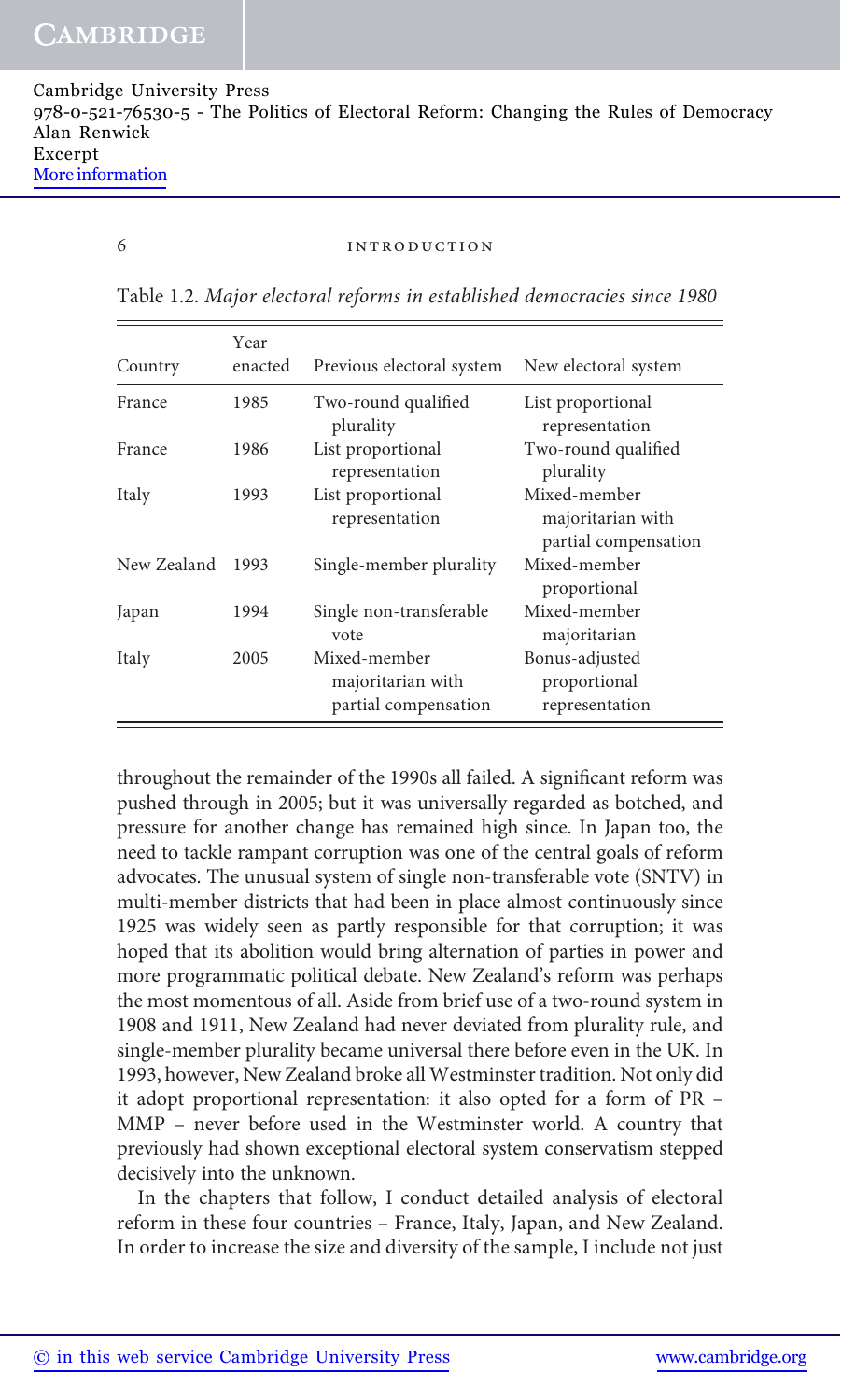## 6 introduction

| Country     | Year<br>enacted | Previous electoral system                                 | New electoral system                                      |  |
|-------------|-----------------|-----------------------------------------------------------|-----------------------------------------------------------|--|
| France      | 1985            | Two-round qualified<br>plurality                          | List proportional<br>representation                       |  |
| France      | 1986            | List proportional<br>representation                       | Two-round qualified<br>plurality                          |  |
| Italy       | 1993            | List proportional<br>representation                       | Mixed-member<br>majoritarian with<br>partial compensation |  |
| New Zealand | 1993            | Single-member plurality                                   | Mixed-member<br>proportional                              |  |
| Japan       | 1994            | Single non-transferable<br>vote                           | Mixed-member<br>majoritarian                              |  |
| Italy       | 2005            | Mixed-member<br>majoritarian with<br>partial compensation | Bonus-adjusted<br>proportional<br>representation          |  |

Table 1.2. Major electoral reforms in established democracies since 1980

throughout the remainder of the 1990s all failed. A significant reform was pushed through in 2005; but it was universally regarded as botched, and pressure for another change has remained high since. In Japan too, the need to tackle rampant corruption was one of the central goals of reform advocates. The unusual system of single non-transferable vote (SNTV) in multi-member districts that had been in place almost continuously since 1925 was widely seen as partly responsible for that corruption; it was hoped that its abolition would bring alternation of parties in power and more programmatic political debate. New Zealand's reform was perhaps the most momentous of all. Aside from brief use of a two-round system in 1908 and 1911, New Zealand had never deviated from plurality rule, and single-member plurality became universal there before even in the UK. In 1993, however, New Zealand broke all Westminster tradition. Not only did it adopt proportional representation: it also opted for a form of PR – MMP – never before used in the Westminster world. A country that previously had shown exceptional electoral system conservatism stepped decisively into the unknown.

In the chapters that follow, I conduct detailed analysis of electoral reform in these four countries – France, Italy, Japan, and New Zealand. In order to increase the size and diversity of the sample, I include not just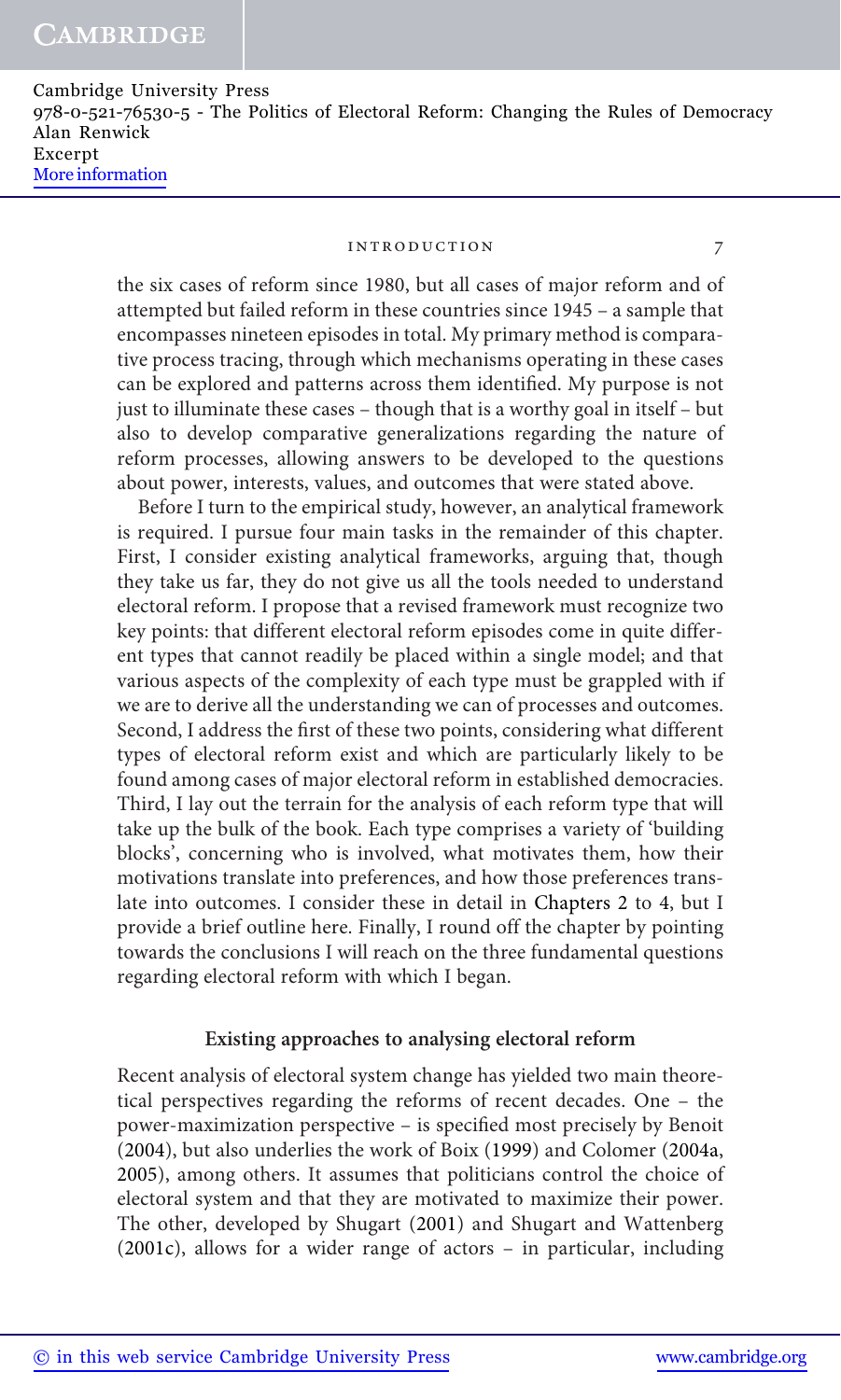## introduction 7

the six cases of reform since 1980, but all cases of major reform and of attempted but failed reform in these countries since 1945 – a sample that encompasses nineteen episodes in total. My primary method is comparative process tracing, through which mechanisms operating in these cases can be explored and patterns across them identified. My purpose is not just to illuminate these cases – though that is a worthy goal in itself – but also to develop comparative generalizations regarding the nature of reform processes, allowing answers to be developed to the questions about power, interests, values, and outcomes that were stated above.

Before I turn to the empirical study, however, an analytical framework is required. I pursue four main tasks in the remainder of this chapter. First, I consider existing analytical frameworks, arguing that, though they take us far, they do not give us all the tools needed to understand electoral reform. I propose that a revised framework must recognize two key points: that different electoral reform episodes come in quite different types that cannot readily be placed within a single model; and that various aspects of the complexity of each type must be grappled with if we are to derive all the understanding we can of processes and outcomes. Second, I address the first of these two points, considering what different types of electoral reform exist and which are particularly likely to be found among cases of major electoral reform in established democracies. Third, I lay out the terrain for the analysis of each reform type that will take up the bulk of the book. Each type comprises a variety of 'building blocks', concerning who is involved, what motivates them, how their motivations translate into preferences, and how those preferences translate into outcomes. I consider these in detail in Chapters 2 to 4, but I provide a brief outline here. Finally, I round off the chapter by pointing towards the conclusions I will reach on the three fundamental questions regarding electoral reform with which I began.

## Existing approaches to analysing electoral reform

Recent analysis of electoral system change has yielded two main theoretical perspectives regarding the reforms of recent decades. One – the power-maximization perspective – is specified most precisely by Benoit (2004), but also underlies the work of Boix (1999) and Colomer (2004a, 2005), among others. It assumes that politicians control the choice of electoral system and that they are motivated to maximize their power. The other, developed by Shugart (2001) and Shugart and Wattenberg (2001c), allows for a wider range of actors – in particular, including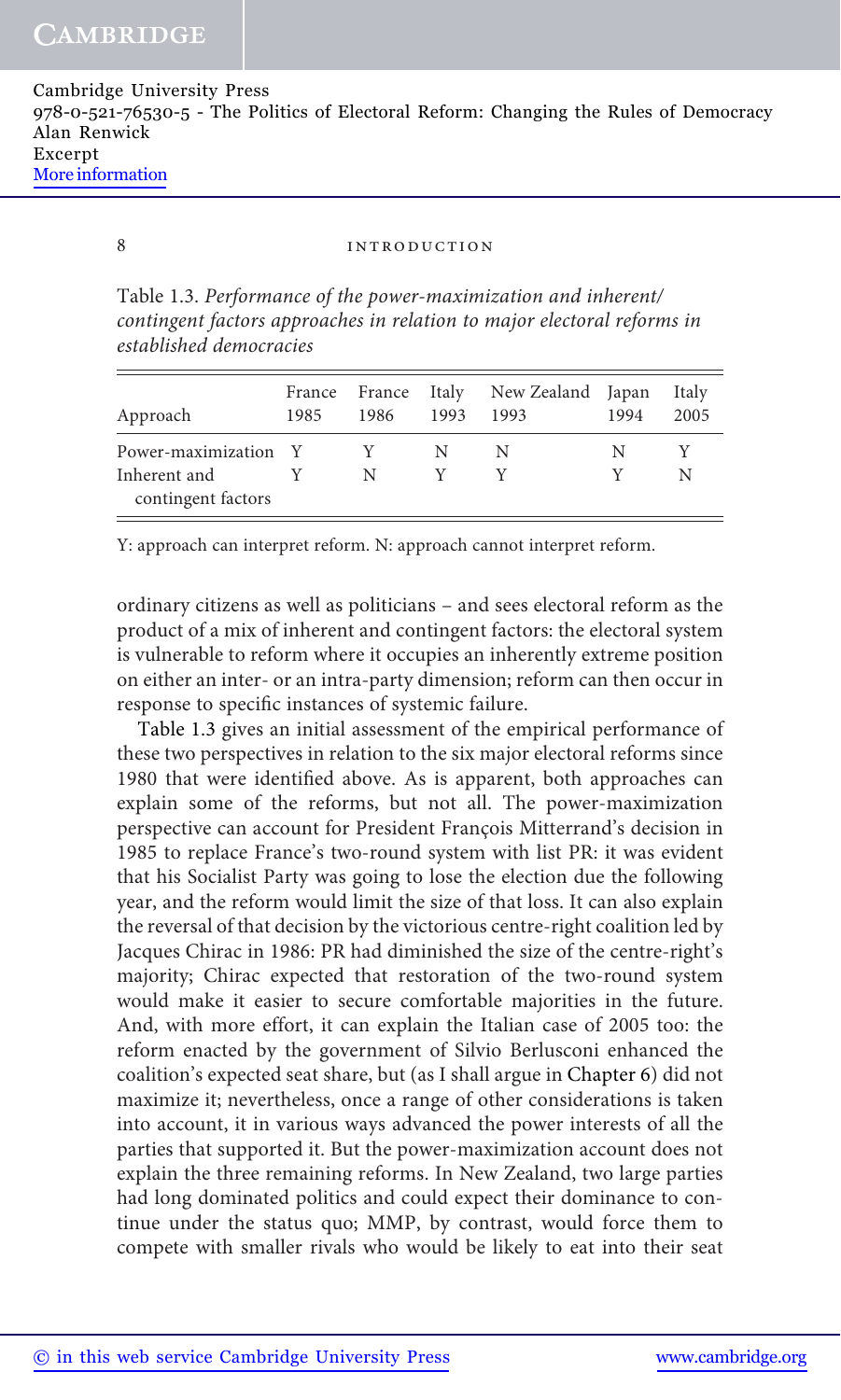8 **introduction** 

Table 1.3. Performance of the power-maximization and inherent/ contingent factors approaches in relation to major electoral reforms in established democracies

| Approach                           | 1985 | 1986 | 1993 | France France Italy New Zealand Japan<br>1993 | 1994 | Italy<br>2005 |
|------------------------------------|------|------|------|-----------------------------------------------|------|---------------|
| Power-maximization Y               |      |      |      | N                                             |      |               |
| Inherent and<br>contingent factors |      | N    |      |                                               |      |               |

Y: approach can interpret reform. N: approach cannot interpret reform.

ordinary citizens as well as politicians – and sees electoral reform as the product of a mix of inherent and contingent factors: the electoral system is vulnerable to reform where it occupies an inherently extreme position on either an inter- or an intra-party dimension; reform can then occur in response to specific instances of systemic failure.

Table 1.3 gives an initial assessment of the empirical performance of these two perspectives in relation to the six major electoral reforms since 1980 that were identified above. As is apparent, both approaches can explain some of the reforms, but not all. The power-maximization perspective can account for President François Mitterrand's decision in 1985 to replace France's two-round system with list PR: it was evident that his Socialist Party was going to lose the election due the following year, and the reform would limit the size of that loss. It can also explain the reversal of that decision by the victorious centre-right coalition led by Jacques Chirac in 1986: PR had diminished the size of the centre-right's majority; Chirac expected that restoration of the two-round system would make it easier to secure comfortable majorities in the future. And, with more effort, it can explain the Italian case of 2005 too: the reform enacted by the government of Silvio Berlusconi enhanced the coalition's expected seat share, but (as I shall argue in Chapter 6) did not maximize it; nevertheless, once a range of other considerations is taken into account, it in various ways advanced the power interests of all the parties that supported it. But the power-maximization account does not explain the three remaining reforms. In New Zealand, two large parties had long dominated politics and could expect their dominance to continue under the status quo; MMP, by contrast, would force them to compete with smaller rivals who would be likely to eat into their seat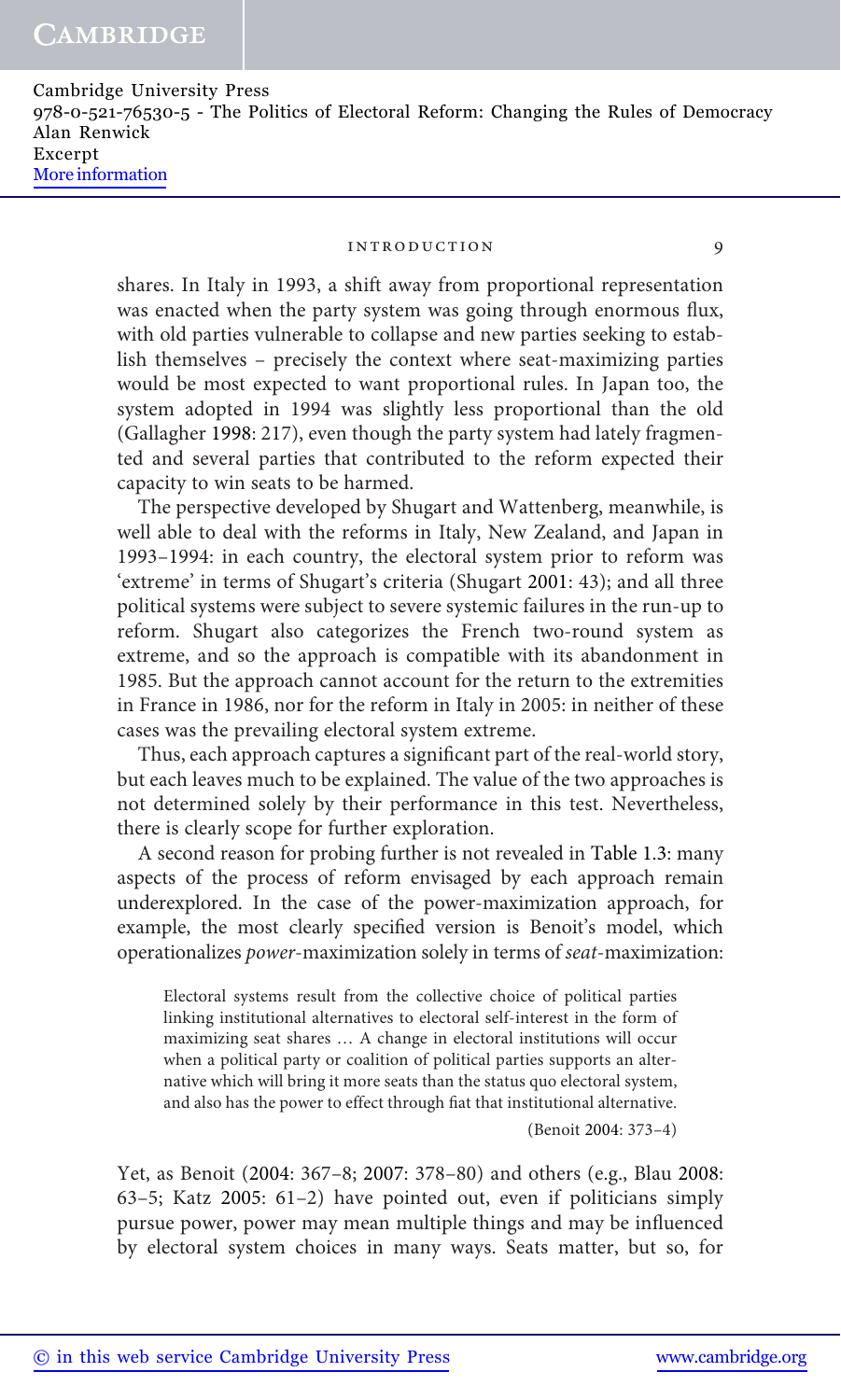## introduction 9

shares. In Italy in 1993, a shift away from proportional representation was enacted when the party system was going through enormous flux, with old parties vulnerable to collapse and new parties seeking to establish themselves – precisely the context where seat-maximizing parties would be most expected to want proportional rules. In Japan too, the system adopted in 1994 was slightly less proportional than the old (Gallagher 1998: 217), even though the party system had lately fragmented and several parties that contributed to the reform expected their capacity to win seats to be harmed.

The perspective developed by Shugart and Wattenberg, meanwhile, is well able to deal with the reforms in Italy, New Zealand, and Japan in 1993–1994: in each country, the electoral system prior to reform was 'extreme' in terms of Shugart's criteria (Shugart 2001: 43); and all three political systems were subject to severe systemic failures in the run-up to reform. Shugart also categorizes the French two-round system as extreme, and so the approach is compatible with its abandonment in 1985. But the approach cannot account for the return to the extremities in France in 1986, nor for the reform in Italy in 2005: in neither of these cases was the prevailing electoral system extreme.

Thus, each approach captures a significant part of the real-world story, but each leaves much to be explained. The value of the two approaches is not determined solely by their performance in this test. Nevertheless, there is clearly scope for further exploration.

A second reason for probing further is not revealed in Table 1.3: many aspects of the process of reform envisaged by each approach remain underexplored. In the case of the power-maximization approach, for example, the most clearly specified version is Benoit's model, which operationalizes power-maximization solely in terms of seat-maximization:

Electoral systems result from the collective choice of political parties linking institutional alternatives to electoral self-interest in the form of maximizing seat shares … A change in electoral institutions will occur when a political party or coalition of political parties supports an alternative which will bring it more seats than the status quo electoral system, and also has the power to effect through fiat that institutional alternative.

(Benoit 2004: 373–4)

Yet, as Benoit (2004: 367–8; 2007: 378–80) and others (e.g., Blau 2008: 63–5; Katz 2005: 61–2) have pointed out, even if politicians simply pursue power, power may mean multiple things and may be influenced by electoral system choices in many ways. Seats matter, but so, for